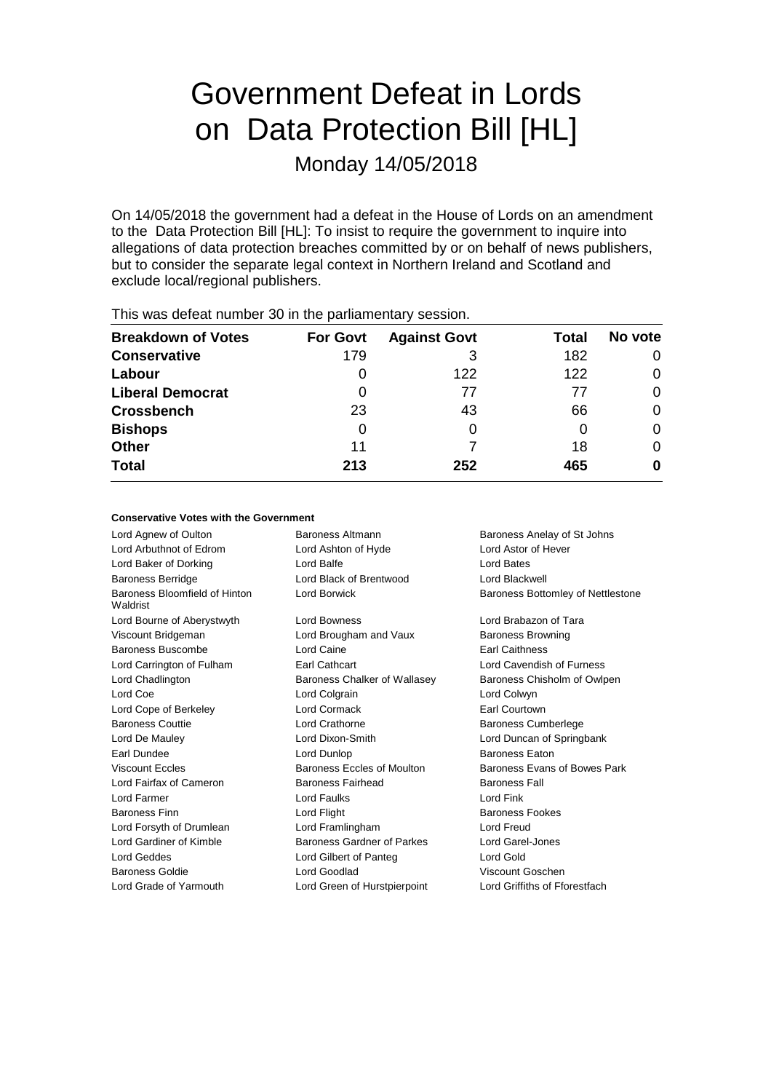# Government Defeat in Lords on Data Protection Bill [HL]

Monday 14/05/2018

On 14/05/2018 the government had a defeat in the House of Lords on an amendment to the Data Protection Bill [HL]: To insist to require the government to inquire into allegations of data protection breaches committed by or on behalf of news publishers, but to consider the separate legal context in Northern Ireland and Scotland and exclude local/regional publishers.

| $1.110$ $1.000$ and the stationartic and $0.000$ in the position is the index $1.000$ |                 |                     |       |         |  |
|---------------------------------------------------------------------------------------|-----------------|---------------------|-------|---------|--|
| <b>Breakdown of Votes</b>                                                             | <b>For Govt</b> | <b>Against Govt</b> | Total | No vote |  |
| <b>Conservative</b>                                                                   | 179             | 3                   | 182   | 0       |  |
| Labour                                                                                |                 | 122                 | 122   | 0       |  |
| <b>Liberal Democrat</b>                                                               | 0               | 77                  | 77    | 0       |  |
| <b>Crossbench</b>                                                                     | 23              | 43                  | 66    | 0       |  |
| <b>Bishops</b>                                                                        | 0               |                     |       | 0       |  |
| <b>Other</b>                                                                          | 11              |                     | 18    | 0       |  |
| <b>Total</b>                                                                          | 213             | 252                 | 465   | 0       |  |
|                                                                                       |                 |                     |       |         |  |

This was defeat number 30 in the parliamentary session.

### **Conservative Votes with the Government**

Lord Agnew of Oulton Baroness Altmann Baroness Anelay of St Johns Lord Arbuthnot of Edrom Lord Ashton of Hyde Lord Astor of Hever Lord Baker of Dorking Lord Balfe Lord Bates Baroness Berridge Lord Black of Brentwood Lord Blackwell Baroness Bloomfield of Hinton Waldrist Lord Borwick **Baroness Bottomley of Nettlestone** Lord Bourne of Aberystwyth Lord Bowness **Lord Brabazon of Tara** Viscount Bridgeman **Lord Brougham and Vaux** Baroness Browning Baroness Buscombe Lord Caine **Earl Caithness** Lord Carrington of Fulham Earl Cathcart Lord Cavendish of Furness Lord Chadlington Baroness Chalker of Wallasey Baroness Chisholm of Owlpen Lord Coe **Lord Colgrain** Lord Colgrain **Lord Colwyn** Lord Cope of Berkeley Lord Cormack Earl Courtown Baroness Couttie Lord Crathorne Baroness Cumberlege Lord De Mauley Lord Dixon-Smith Lord Duncan of Springbank Earl Dundee Lord Dunlop Baroness Eaton Viscount Eccles **Baroness Eccles** Baroness Eccles of Moulton Baroness Evans of Bowes Park Lord Fairfax of Cameron **Baroness Fairhead** Baroness Fall Lord Farmer Lord Faulks Lord Fink Baroness Finn **Baroness Fookes** Lord Flight **Baroness Fookes** Baroness Fookes Lord Forsyth of Drumlean Lord Framlingham Lord Freud Lord Gardiner of Kimble **Baroness Gardner of Parkes** Lord Garel-Jones Lord Geddes Lord Gilbert of Panteg Lord Gold Baroness Goldie Lord Goodlad Viscount Goschen Lord Grade of Yarmouth Lord Green of Hurstpierpoint Lord Griffiths of Fforestfach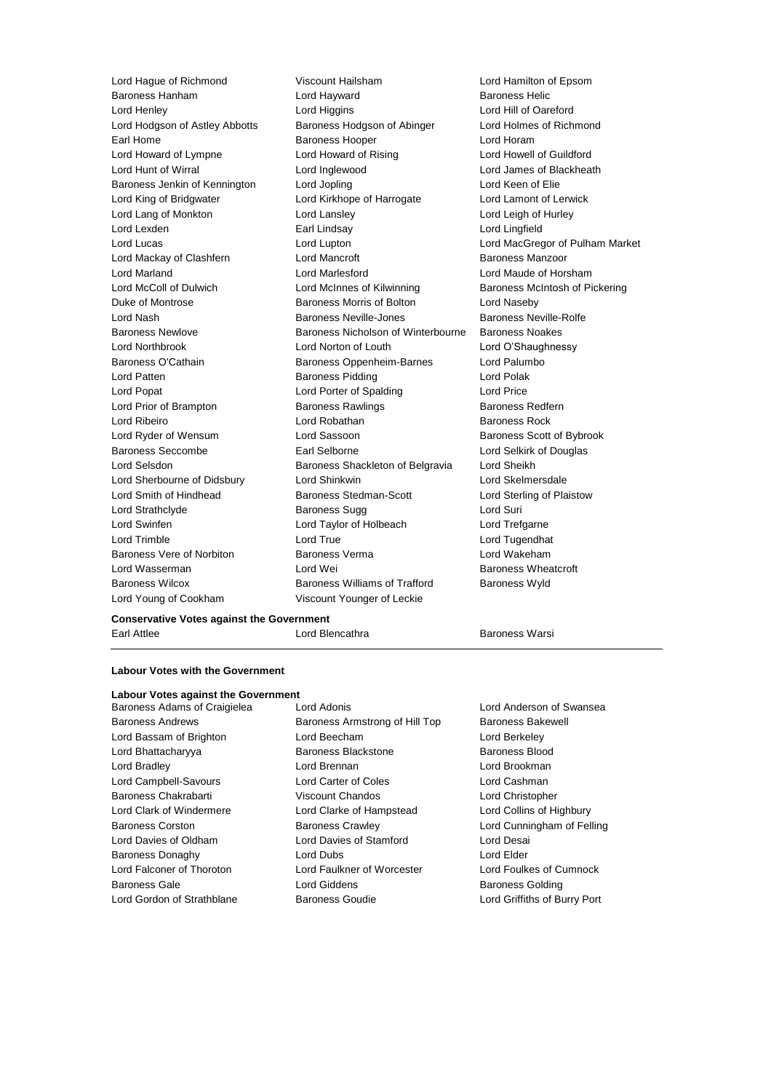Baroness Hanham **Lord Hayward** 

Lord Hague of Richmond Viscount Hailsham Lord Hamilton of Epsom Lord Henley Lord Higgins Lord Hill of Oareford Lord Hodgson of Astley Abbotts Baroness Hodgson of Abinger Lord Holmes of Richmond Earl Home **Baroness Hooper Baroness Hooper Lord Horam** Lord Howard of Lympne Lord Howard of Rising Lord Howell of Guildford Lord Hunt of Wirral Lord Inglewood Lord James of Blackheath Baroness Jenkin of Kennington Lord Jopling Lord Keen of Elie Lord King of Bridgwater Lord Kirkhope of Harrogate Lord Lamont of Lerwick Lord Lang of Monkton Lord Lansley Lord Leigh of Hurley Lord Lexden Earl Lindsay Lord Lingfield Lord Lucas Lord Lupton Lord MacGregor of Pulham Market Lord Mackay of Clashfern **Lord Mancroft Baroness Manzoor** Baroness Manzoor Lord Marland Lord Marlesford Lord Maude of Horsham Lord McColl of Dulwich **Lord McInnes of Kilwinning** Baroness McIntosh of Pickering Duke of Montrose **Baroness Morris of Bolton** Lord Naseby Lord Nash Baroness Neville-Jones Baroness Neville-Rolfe Baroness Newlove Baroness Nicholson of Winterbourne Baroness Noakes Lord Northbrook Lord Norton of Louth Lord O'Shaughnessy Baroness O'Cathain **Baroness Oppenheim-Barnes** Lord Palumbo Lord Patten **Baroness Pidding Constructs** Lord Polak Lord Popat Lord Porter of Spalding Lord Price Lord Prior of Brampton Baroness Rawlings Baroness Redfern Lord Ribeiro **Lord Robathan** Baroness Rock Lord Ryder of Wensum **Lord Sassoon** Baroness Scott of Bybrook Baroness Seccombe Earl Selborne Lord Selkirk of Douglas Lord Selsdon Baroness Shackleton of Belgravia Lord Sheikh Lord Sherbourne of Didsbury Lord Shinkwin Lord Skelmersdale Lord Smith of Hindhead Baroness Stedman-Scott Lord Sterling of Plaistow Lord Strathclyde Baroness Sugg Lord Suri Lord Swinfen Lord Taylor of Holbeach Lord Trefgarne Lord Trimble Lord True Lord Tugendhat Baroness Vere of Norbiton Baroness Verma Lord Wakeham Lord Wasserman Lord Wei Baroness Wheatcroft Baroness Wilcox **Baroness Williams of Trafford** Baroness Wyld Lord Young of Cookham Viscount Younger of Leckie

### **Conservative Votes against the Government**

Earl Attlee **Lord Blencathra Lord Blencathra** Baroness Warsi

### **Labour Votes with the Government**

## **Labour Votes against the Government**

Baroness Adams of Craigielea Lord Adonis Lord Anderson of Swansea Baroness Andrews **Baroness Armstrong of Hill Top** Baroness Bakewell Lord Bassam of Brighton Lord Beecham Lord Berkeley Lord Bhattacharyya **Baroness Blackstone** Baroness Blood Lord Bradley Lord Brennan Lord Brookman Lord Campbell-Savours Lord Carter of Coles Lord Cashman Baroness Chakrabarti Viscount Chandos Lord Christopher Lord Clark of Windermere Lord Clarke of Hampstead Lord Collins of Highbury Baroness Corston Baroness Crawley Lord Cunningham of Felling Lord Davies of Oldham Lord Davies of Stamford Lord Desai Baroness Donaghy **Lord Dubs** Lord Dubs **Lord Elder** Lord Falconer of Thoroton Lord Faulkner of Worcester Lord Foulkes of Cumnock Baroness Gale **Baroness Golding** Lord Giddens **Baroness Golding** 

Lord Gordon of Strathblane Baroness Goudie Lord Griffiths of Burry Port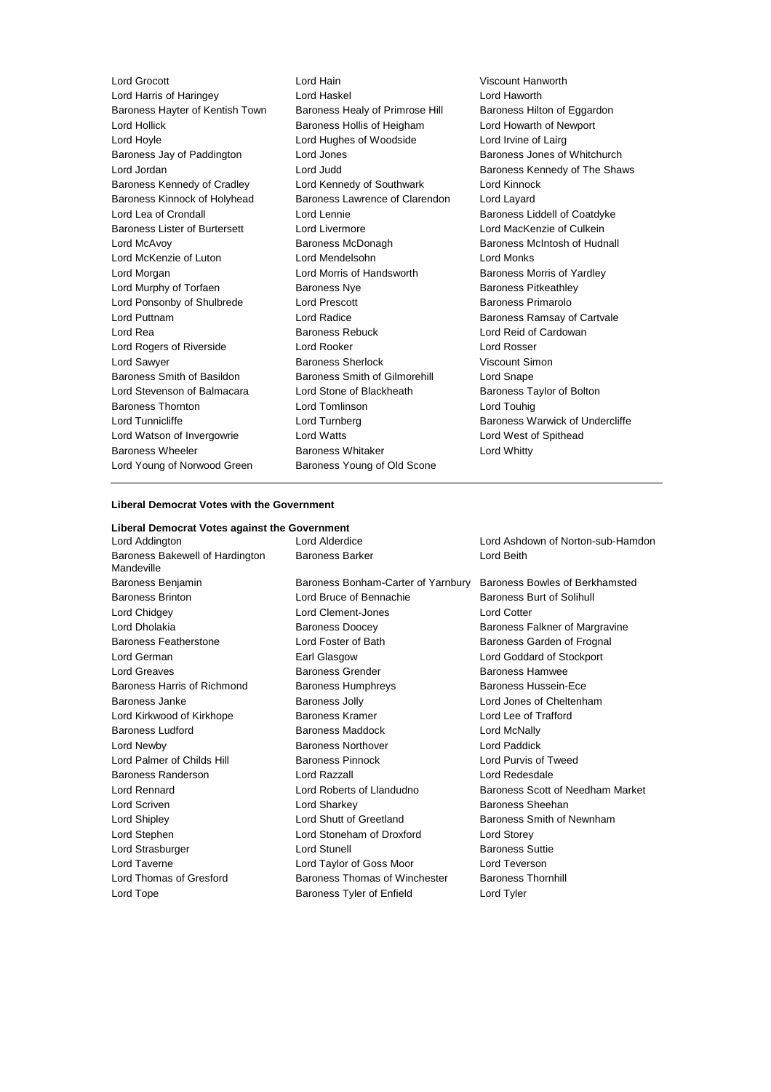Lord Grocott Lord Hain Viscount Hanworth Lord Harris of Haringey<br>
Baroness Havter of Kentish Town Baroness Healy of Primrose Hill Baroness Hilton of Eggardon Baroness Hayter of Kentish Town Baroness Healy of Primrose Hill Lord Hollick **Baroness Hollis of Heigham** Lord Howarth of Newport Lord Hoyle Lord Hughes of Woodside Lord Irvine of Lairg Baroness Jay of Paddington **Lord Jones** Communist Control Baroness Jones of Whitchurch<br>
Lord Jordan **Baroness** Kennedy of The Shave Lord Jordan **Lord Judd** Lord Judd Baroness Kennedy of The Shaws Baroness Kennedy of Cradley Lord Kennedy of Southwark Lord Kinnock Baroness Kinnock of Holyhead Baroness Lawrence of Clarendon Lord Layard Lord Lea of Crondall Lord Lennie Baroness Liddell of Coatdyke Baroness Lister of Burtersett Lord Livermore Lord Lord MacKenzie of Culkein Lord McAvoy Baroness McDonagh Baroness McIntosh of Hudnall Lord McKenzie of Luton Lord Mendelsohn Lord Monks Lord Morgan **Lord Morris of Handsworth** Baroness Morris of Yardley Lord Murphy of Torfaen **Baroness Nye** Baroness Pitkeathley Lord Ponsonby of Shulbrede Lord Prescott **Baroness Primarolo** Lord Puttnam **Lord Radice Baroness Ramsay of Cartvale** Lord Rea **Baroness Rebuck** Lord Reid of Cardowan Baroness Rebuck Lord Reid of Cardowan Lord Rogers of Riverside Lord Rooker Lord Rosser Lord Sawyer **Baroness Sherlock** Viscount Simon Baroness Smith of Basildon Baroness Smith of Gilmorehill Lord Snape Lord Stevenson of Balmacara Lord Stone of Blackheath Baroness Taylor of Bolton Baroness Thornton Lord Tomlinson Lord Touhig Lord Tunnicliffe **Lord Turnberg Community** Baroness Warwick of Undercliffe Lord Watson of Invergowrie **Lord Watts** Lord West of Spithead Baroness Wheeler **Baroness Whitaker** Baroness Whitaker **Lord Whitty** Lord Young of Norwood Green Baroness Young of Old Scone

### **Liberal Democrat Votes with the Government**

| Liberal Democrat Votes against the Government |                                    |                                   |  |  |  |  |
|-----------------------------------------------|------------------------------------|-----------------------------------|--|--|--|--|
| Lord Addington                                | Lord Alderdice                     | Lord Ashdown of Norton-sub-Hamdon |  |  |  |  |
| Baroness Bakewell of Hardington<br>Mandeville | <b>Baroness Barker</b>             | Lord Beith                        |  |  |  |  |
| Baroness Benjamin                             | Baroness Bonham-Carter of Yarnbury | Baroness Bowles of Berkhamsted    |  |  |  |  |
| <b>Baroness Brinton</b>                       | Lord Bruce of Bennachie            | Baroness Burt of Solihull         |  |  |  |  |
| Lord Chidgey                                  | Lord Clement-Jones                 | <b>Lord Cotter</b>                |  |  |  |  |
| Lord Dholakia                                 | <b>Baroness Doocey</b>             | Baroness Falkner of Margravine    |  |  |  |  |
| Baroness Featherstone                         | Lord Foster of Bath                | Baroness Garden of Frognal        |  |  |  |  |
| Lord German                                   | Earl Glasgow                       | Lord Goddard of Stockport         |  |  |  |  |
| Lord Greaves                                  | <b>Baroness Grender</b>            | <b>Baroness Hamwee</b>            |  |  |  |  |
| Baroness Harris of Richmond                   | <b>Baroness Humphreys</b>          | <b>Baroness Hussein-Ece</b>       |  |  |  |  |
| Baroness Janke                                | <b>Baroness Jolly</b>              | Lord Jones of Cheltenham          |  |  |  |  |
| Lord Kirkwood of Kirkhope                     | Baroness Kramer                    | Lord Lee of Trafford              |  |  |  |  |
| <b>Baroness Ludford</b>                       | Baroness Maddock                   | Lord McNally                      |  |  |  |  |
| Lord Newby                                    | <b>Baroness Northover</b>          | Lord Paddick                      |  |  |  |  |
| Lord Palmer of Childs Hill                    | <b>Baroness Pinnock</b>            | Lord Purvis of Tweed              |  |  |  |  |
| Baroness Randerson                            | Lord Razzall                       | Lord Redesdale                    |  |  |  |  |
| Lord Rennard                                  | Lord Roberts of Llandudno          | Baroness Scott of Needham Market  |  |  |  |  |
| Lord Scriven                                  | Lord Sharkey                       | Baroness Sheehan                  |  |  |  |  |
| Lord Shipley                                  | Lord Shutt of Greetland            | Baroness Smith of Newnham         |  |  |  |  |
| Lord Stephen                                  | Lord Stoneham of Droxford          | <b>Lord Storey</b>                |  |  |  |  |
| Lord Strasburger                              | Lord Stunell                       | <b>Baroness Suttie</b>            |  |  |  |  |
| Lord Taverne                                  | Lord Taylor of Goss Moor           | Lord Teverson                     |  |  |  |  |
| Lord Thomas of Gresford                       | Baroness Thomas of Winchester      | <b>Baroness Thornhill</b>         |  |  |  |  |
| Lord Tope                                     | Baroness Tyler of Enfield          | Lord Tyler                        |  |  |  |  |